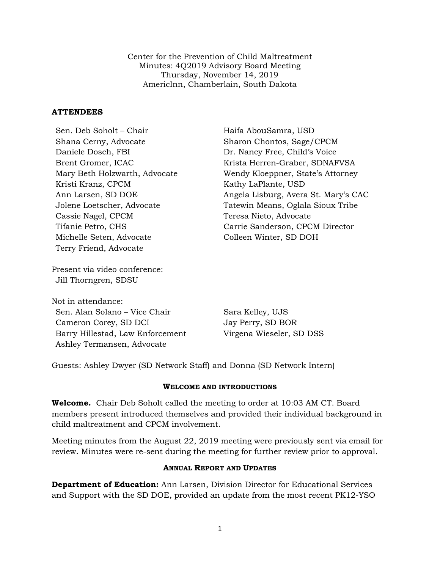Center for the Prevention of Child Maltreatment Minutes: 4Q2019 Advisory Board Meeting Thursday, November 14, 2019 AmericInn, Chamberlain, South Dakota

#### **ATTENDEES**

Sen. Deb Soholt – Chair Haifa AbouSamra, USD Shana Cerny, Advocate Sharon Chontos, Sage/CPCM Daniele Dosch, FBI Dr. Nancy Free, Child's Voice Kristi Kranz, CPCM Kathy LaPlante, USD Cassie Nagel, CPCM Teresa Nieto, Advocate Michelle Seten, Advocate Colleen Winter, SD DOH Terry Friend, Advocate

Present via video conference: Jill Thorngren, SDSU

Not in attendance: Sen. Alan Solano – Vice Chair Sara Kelley, UJS Cameron Corey, SD DCI Jay Perry, SD BOR Barry Hillestad, Law Enforcement Virgena Wieseler, SD DSS Ashley Termansen, Advocate

Brent Gromer, ICAC Krista Herren-Graber, SDNAFVSA Mary Beth Holzwarth, Advocate Wendy Kloeppner, State's Attorney Ann Larsen, SD DOE Angela Lisburg, Avera St. Mary's CAC Jolene Loetscher, Advocate Tatewin Means, Oglala Sioux Tribe Tifanie Petro, CHS Carrie Sanderson, CPCM Director

Guests: Ashley Dwyer (SD Network Staff) and Donna (SD Network Intern)

#### **WELCOME AND INTRODUCTIONS**

**Welcome.** Chair Deb Soholt called the meeting to order at 10:03 AM CT. Board members present introduced themselves and provided their individual background in child maltreatment and CPCM involvement.

Meeting minutes from the August 22, 2019 meeting were previously sent via email for review. Minutes were re-sent during the meeting for further review prior to approval.

#### **ANNUAL REPORT AND UPDATES**

**Department of Education:** Ann Larsen, Division Director for Educational Services and Support with the SD DOE, provided an update from the most recent PK12-YSO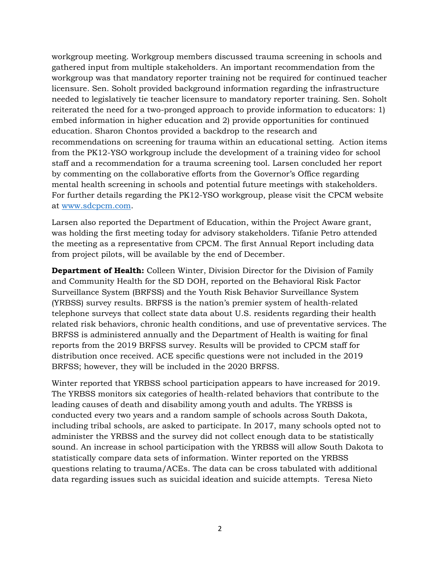workgroup meeting. Workgroup members discussed trauma screening in schools and gathered input from multiple stakeholders. An important recommendation from the workgroup was that mandatory reporter training not be required for continued teacher licensure. Sen. Soholt provided background information regarding the infrastructure needed to legislatively tie teacher licensure to mandatory reporter training. Sen. Soholt reiterated the need for a two-pronged approach to provide information to educators: 1) embed information in higher education and 2) provide opportunities for continued education. Sharon Chontos provided a backdrop to the research and recommendations on screening for trauma within an educational setting. Action items from the PK12-YSO workgroup include the development of a training video for school staff and a recommendation for a trauma screening tool. Larsen concluded her report by commenting on the collaborative efforts from the Governor's Office regarding mental health screening in schools and potential future meetings with stakeholders. For further details regarding the PK12-YSO workgroup, please visit the CPCM website at [www.sdcpcm.com.](http://www.sdcpcm.com/)

Larsen also reported the Department of Education, within the Project Aware grant, was holding the first meeting today for advisory stakeholders. Tifanie Petro attended the meeting as a representative from CPCM. The first Annual Report including data from project pilots, will be available by the end of December.

**Department of Health:** Colleen Winter, Division Director for the Division of Family and Community Health for the SD DOH, reported on the Behavioral Risk Factor Surveillance System (BRFSS) and the Youth Risk Behavior Surveillance System (YRBSS) survey results. BRFSS is the nation's premier system of health-related telephone surveys that collect state data about U.S. residents regarding their health related risk behaviors, chronic health conditions, and use of preventative services. The BRFSS is administered annually and the Department of Health is waiting for final reports from the 2019 BRFSS survey. Results will be provided to CPCM staff for distribution once received. ACE specific questions were not included in the 2019 BRFSS; however, they will be included in the 2020 BRFSS.

Winter reported that YRBSS school participation appears to have increased for 2019. The YRBSS monitors six categories of health-related behaviors that contribute to the leading causes of death and disability among youth and adults. The YRBSS is conducted every two years and a random sample of schools across South Dakota, including tribal schools, are asked to participate. In 2017, many schools opted not to administer the YRBSS and the survey did not collect enough data to be statistically sound. An increase in school participation with the YRBSS will allow South Dakota to statistically compare data sets of information. Winter reported on the YRBSS questions relating to trauma/ACEs. The data can be cross tabulated with additional data regarding issues such as suicidal ideation and suicide attempts. Teresa Nieto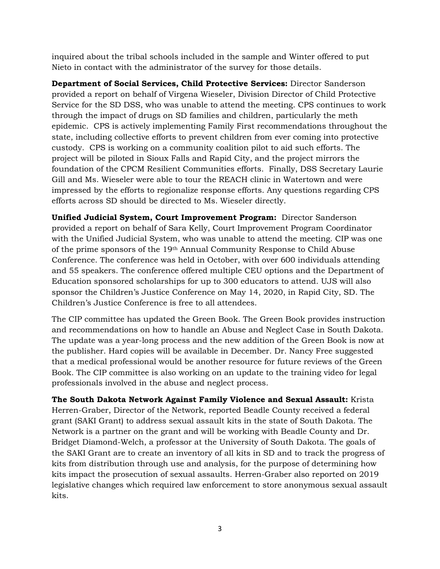inquired about the tribal schools included in the sample and Winter offered to put Nieto in contact with the administrator of the survey for those details.

**Department of Social Services, Child Protective Services:** Director Sanderson provided a report on behalf of Virgena Wieseler, Division Director of Child Protective Service for the SD DSS, who was unable to attend the meeting. CPS continues to work through the impact of drugs on SD families and children, particularly the meth epidemic. CPS is actively implementing Family First recommendations throughout the state, including collective efforts to prevent children from ever coming into protective custody. CPS is working on a community coalition pilot to aid such efforts. The project will be piloted in Sioux Falls and Rapid City, and the project mirrors the foundation of the CPCM Resilient Communities efforts. Finally, DSS Secretary Laurie Gill and Ms. Wieseler were able to tour the REACH clinic in Watertown and were impressed by the efforts to regionalize response efforts. Any questions regarding CPS efforts across SD should be directed to Ms. Wieseler directly.

**Unified Judicial System, Court Improvement Program:** Director Sanderson provided a report on behalf of Sara Kelly, Court Improvement Program Coordinator with the Unified Judicial System, who was unable to attend the meeting. CIP was one of the prime sponsors of the 19th Annual Community Response to Child Abuse Conference. The conference was held in October, with over 600 individuals attending and 55 speakers. The conference offered multiple CEU options and the Department of Education sponsored scholarships for up to 300 educators to attend. UJS will also sponsor the Children's Justice Conference on May 14, 2020, in Rapid City, SD. The Children's Justice Conference is free to all attendees.

The CIP committee has updated the Green Book. The Green Book provides instruction and recommendations on how to handle an Abuse and Neglect Case in South Dakota. The update was a year-long process and the new addition of the Green Book is now at the publisher. Hard copies will be available in December. Dr. Nancy Free suggested that a medical professional would be another resource for future reviews of the Green Book. The CIP committee is also working on an update to the training video for legal professionals involved in the abuse and neglect process.

**The South Dakota Network Against Family Violence and Sexual Assault:** Krista Herren-Graber, Director of the Network, reported Beadle County received a federal grant (SAKI Grant) to address sexual assault kits in the state of South Dakota. The Network is a partner on the grant and will be working with Beadle County and Dr. Bridget Diamond-Welch, a professor at the University of South Dakota. The goals of the SAKI Grant are to create an inventory of all kits in SD and to track the progress of kits from distribution through use and analysis, for the purpose of determining how kits impact the prosecution of sexual assaults. Herren-Graber also reported on 2019 legislative changes which required law enforcement to store anonymous sexual assault kits.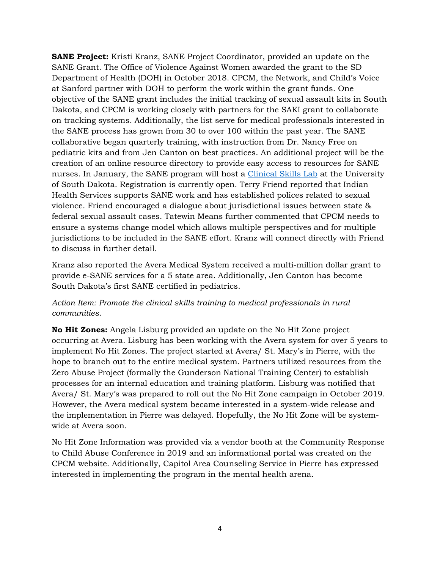**SANE Project:** Kristi Kranz, SANE Project Coordinator, provided an update on the SANE Grant. The Office of Violence Against Women awarded the grant to the SD Department of Health (DOH) in October 2018. CPCM, the Network, and Child's Voice at Sanford partner with DOH to perform the work within the grant funds. One objective of the SANE grant includes the initial tracking of sexual assault kits in South Dakota, and CPCM is working closely with partners for the SAKI grant to collaborate on tracking systems. Additionally, the list serve for medical professionals interested in the SANE process has grown from 30 to over 100 within the past year. The SANE collaborative began quarterly training, with instruction from Dr. Nancy Free on pediatric kits and from Jen Canton on best practices. An additional project will be the creation of an online resource directory to provide easy access to resources for SANE nurses. In January, the SANE program will host a *Clinical Skills Lab at the University* of South Dakota. Registration is currently open. Terry Friend reported that Indian Health Services supports SANE work and has established polices related to sexual violence. Friend encouraged a dialogue about jurisdictional issues between state & federal sexual assault cases. Tatewin Means further commented that CPCM needs to ensure a systems change model which allows multiple perspectives and for multiple jurisdictions to be included in the SANE effort. Kranz will connect directly with Friend to discuss in further detail.

Kranz also reported the Avera Medical System received a multi-million dollar grant to provide e-SANE services for a 5 state area. Additionally, Jen Canton has become South Dakota's first SANE certified in pediatrics.

## *Action Item: Promote the clinical skills training to medical professionals in rural communities.*

**No Hit Zones:** Angela Lisburg provided an update on the No Hit Zone project occurring at Avera. Lisburg has been working with the Avera system for over 5 years to implement No Hit Zones. The project started at Avera/ St. Mary's in Pierre, with the hope to branch out to the entire medical system. Partners utilized resources from the Zero Abuse Project (formally the Gunderson National Training Center) to establish processes for an internal education and training platform. Lisburg was notified that Avera/ St. Mary's was prepared to roll out the No Hit Zone campaign in October 2019. However, the Avera medical system became interested in a system-wide release and the implementation in Pierre was delayed. Hopefully, the No Hit Zone will be systemwide at Avera soon.

No Hit Zone Information was provided via a vendor booth at the Community Response to Child Abuse Conference in 2019 and an informational portal was created on the CPCM website. Additionally, Capitol Area Counseling Service in Pierre has expressed interested in implementing the program in the mental health arena.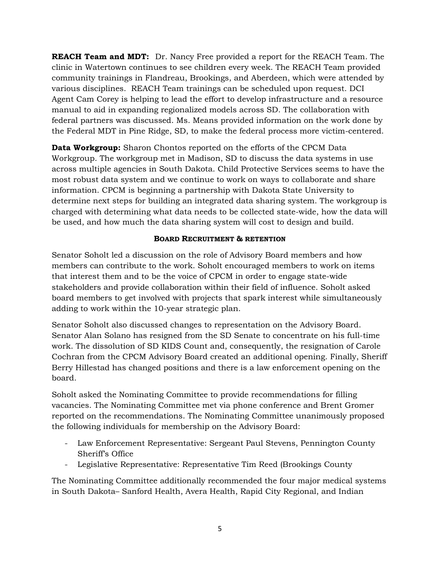**REACH Team and MDT:** Dr. Nancy Free provided a report for the REACH Team. The clinic in Watertown continues to see children every week. The REACH Team provided community trainings in Flandreau, Brookings, and Aberdeen, which were attended by various disciplines. REACH Team trainings can be scheduled upon request. DCI Agent Cam Corey is helping to lead the effort to develop infrastructure and a resource manual to aid in expanding regionalized models across SD. The collaboration with federal partners was discussed. Ms. Means provided information on the work done by the Federal MDT in Pine Ridge, SD, to make the federal process more victim-centered.

**Data Workgroup:** Sharon Chontos reported on the efforts of the CPCM Data Workgroup. The workgroup met in Madison, SD to discuss the data systems in use across multiple agencies in South Dakota. Child Protective Services seems to have the most robust data system and we continue to work on ways to collaborate and share information. CPCM is beginning a partnership with Dakota State University to determine next steps for building an integrated data sharing system. The workgroup is charged with determining what data needs to be collected state-wide, how the data will be used, and how much the data sharing system will cost to design and build.

## **BOARD RECRUITMENT & RETENTION**

Senator Soholt led a discussion on the role of Advisory Board members and how members can contribute to the work. Soholt encouraged members to work on items that interest them and to be the voice of CPCM in order to engage state-wide stakeholders and provide collaboration within their field of influence. Soholt asked board members to get involved with projects that spark interest while simultaneously adding to work within the 10-year strategic plan.

Senator Soholt also discussed changes to representation on the Advisory Board. Senator Alan Solano has resigned from the SD Senate to concentrate on his full-time work. The dissolution of SD KIDS Count and, consequently, the resignation of Carole Cochran from the CPCM Advisory Board created an additional opening. Finally, Sheriff Berry Hillestad has changed positions and there is a law enforcement opening on the board.

Soholt asked the Nominating Committee to provide recommendations for filling vacancies. The Nominating Committee met via phone conference and Brent Gromer reported on the recommendations. The Nominating Committee unanimously proposed the following individuals for membership on the Advisory Board:

- Law Enforcement Representative: Sergeant Paul Stevens, Pennington County Sheriff's Office
- Legislative Representative: Representative Tim Reed (Brookings County

The Nominating Committee additionally recommended the four major medical systems in South Dakota– Sanford Health, Avera Health, Rapid City Regional, and Indian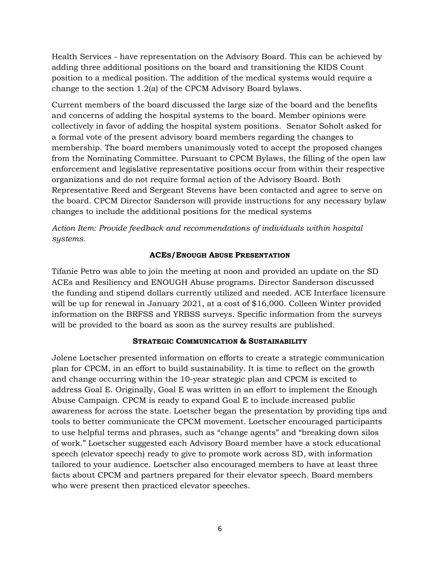Health Services - have representation on the Advisory Board. This can be achieved by adding three additional positions on the board and transitioning the KIDS Count position to a medical position. The addition of the medical systems would require a change to the section 1.2(a) of the CPCM Advisory Board bylaws.

Current members of the board discussed the large size of the board and the benefits and concerns of adding the hospital systems to the board. Member opinions were collectively in favor of adding the hospital system positions. Senator Soholt asked for a formal vote of the present advisory board members regarding the changes to membership. The board members unanimously voted to accept the proposed changes from the Nominating Committee. Pursuant to CPCM Bylaws, the filling of the open law enforcement and legislative representative positions occur from within their respective organizations and do not require formal action of the Advisory Board. Both Representative Reed and Sergeant Stevens have been contacted and agree to serve on the board. CPCM Director Sanderson will provide instructions for any necessary bylaw changes to include the additional positions for the medical systems

*Action Item: Provide feedback and recommendations of individuals within hospital systems.*

## **ACES/ENOUGH ABUSE PRESENTATION**

Tifanie Petro was able to join the meeting at noon and provided an update on the SD ACEs and Resiliency and ENOUGH Abuse programs. Director Sanderson discussed the funding and stipend dollars currently utilized and needed. ACE Interface licensure will be up for renewal in January 2021, at a cost of \$16,000. Colleen Winter provided information on the BRFSS and YRBSS surveys. Specific information from the surveys will be provided to the board as soon as the survey results are published.

#### **STRATEGIC COMMUNICATION & SUSTAINABILITY**

Jolene Loetscher presented information on efforts to create a strategic communication plan for CPCM, in an effort to build sustainability. It is time to reflect on the growth and change occurring within the 10-year strategic plan and CPCM is excited to address Goal E. Originally, Goal E was written in an effort to implement the Enough Abuse Campaign. CPCM is ready to expand Goal E to include increased public awareness for across the state. Loetscher began the presentation by providing tips and tools to better communicate the CPCM movement. Loetscher encouraged participants to use helpful terms and phrases, such as "change agents" and "breaking down silos of work." Loetscher suggested each Advisory Board member have a stock educational speech (elevator speech) ready to give to promote work across SD, with information tailored to your audience. Loetscher also encouraged members to have at least three facts about CPCM and partners prepared for their elevator speech. Board members who were present then practiced elevator speeches.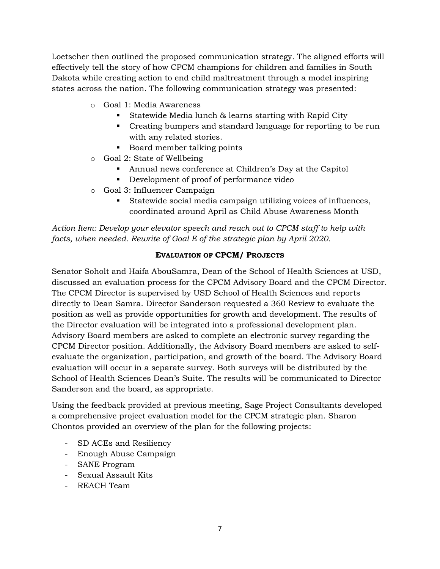Loetscher then outlined the proposed communication strategy. The aligned efforts will effectively tell the story of how CPCM champions for children and families in South Dakota while creating action to end child maltreatment through a model inspiring states across the nation. The following communication strategy was presented:

- o Goal 1: Media Awareness
	- Statewide Media lunch & learns starting with Rapid City
	- Creating bumpers and standard language for reporting to be run with any related stories.
	- Board member talking points
- o Goal 2: State of Wellbeing
	- Annual news conference at Children's Day at the Capitol
	- Development of proof of performance video
- o Goal 3: Influencer Campaign
	- Statewide social media campaign utilizing voices of influences, coordinated around April as Child Abuse Awareness Month

*Action Item: Develop your elevator speech and reach out to CPCM staff to help with facts, when needed. Rewrite of Goal E of the strategic plan by April 2020.*

## **EVALUATION OF CPCM/ PROJECTS**

Senator Soholt and Haifa AbouSamra, Dean of the School of Health Sciences at USD, discussed an evaluation process for the CPCM Advisory Board and the CPCM Director. The CPCM Director is supervised by USD School of Health Sciences and reports directly to Dean Samra. Director Sanderson requested a 360 Review to evaluate the position as well as provide opportunities for growth and development. The results of the Director evaluation will be integrated into a professional development plan. Advisory Board members are asked to complete an electronic survey regarding the CPCM Director position. Additionally, the Advisory Board members are asked to selfevaluate the organization, participation, and growth of the board. The Advisory Board evaluation will occur in a separate survey. Both surveys will be distributed by the School of Health Sciences Dean's Suite. The results will be communicated to Director Sanderson and the board, as appropriate.

Using the feedback provided at previous meeting, Sage Project Consultants developed a comprehensive project evaluation model for the CPCM strategic plan. Sharon Chontos provided an overview of the plan for the following projects:

- SD ACEs and Resiliency
- Enough Abuse Campaign
- SANE Program
- Sexual Assault Kits
- REACH Team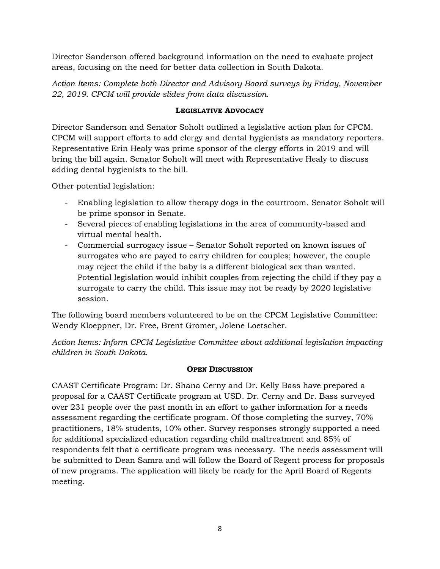Director Sanderson offered background information on the need to evaluate project areas, focusing on the need for better data collection in South Dakota.

*Action Items: Complete both Director and Advisory Board surveys by Friday, November 22, 2019. CPCM will provide slides from data discussion.*

## **LEGISLATIVE ADVOCACY**

Director Sanderson and Senator Soholt outlined a legislative action plan for CPCM. CPCM will support efforts to add clergy and dental hygienists as mandatory reporters. Representative Erin Healy was prime sponsor of the clergy efforts in 2019 and will bring the bill again. Senator Soholt will meet with Representative Healy to discuss adding dental hygienists to the bill.

Other potential legislation:

- Enabling legislation to allow therapy dogs in the courtroom. Senator Soholt will be prime sponsor in Senate.
- Several pieces of enabling legislations in the area of community-based and virtual mental health.
- Commercial surrogacy issue Senator Soholt reported on known issues of surrogates who are payed to carry children for couples; however, the couple may reject the child if the baby is a different biological sex than wanted. Potential legislation would inhibit couples from rejecting the child if they pay a surrogate to carry the child. This issue may not be ready by 2020 legislative session.

The following board members volunteered to be on the CPCM Legislative Committee: Wendy Kloeppner, Dr. Free, Brent Gromer, Jolene Loetscher.

*Action Items: Inform CPCM Legislative Committee about additional legislation impacting children in South Dakota.*

## **OPEN DISCUSSION**

CAAST Certificate Program: Dr. Shana Cerny and Dr. Kelly Bass have prepared a proposal for a CAAST Certificate program at USD. Dr. Cerny and Dr. Bass surveyed over 231 people over the past month in an effort to gather information for a needs assessment regarding the certificate program. Of those completing the survey, 70% practitioners, 18% students, 10% other. Survey responses strongly supported a need for additional specialized education regarding child maltreatment and 85% of respondents felt that a certificate program was necessary. The needs assessment will be submitted to Dean Samra and will follow the Board of Regent process for proposals of new programs. The application will likely be ready for the April Board of Regents meeting.